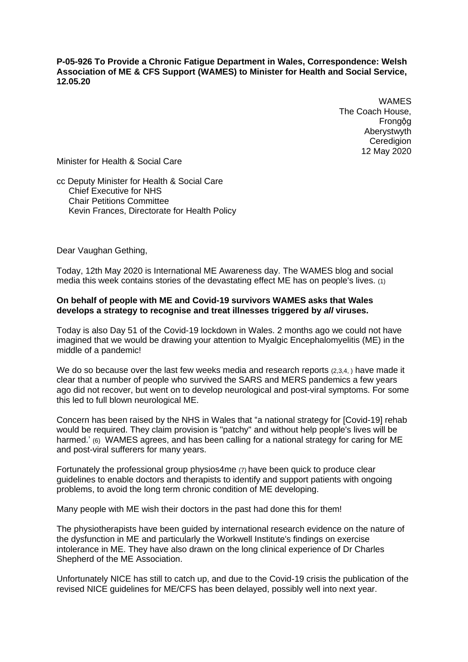**P-05-926 To Provide a Chronic Fatigue Department in Wales, Correspondence: Welsh Association of ME & CFS Support (WAMES) to Minister for Health and Social Service, 12.05.20**

> WAMES The Coach House, Frongộg Aberystwyth **Ceredigion** 12 May 2020

Minister for Health & Social Care

cc Deputy Minister for Health & Social Care Chief Executive for NHS Chair Petitions Committee Kevin Frances, Directorate for Health Policy

Dear Vaughan Gething,

Today, 12th May 2020 is International ME Awareness day. The WAMES blog and social media this week contains stories of the devastating effect ME has on people's lives. (1)

### **On behalf of people with ME and Covid-19 survivors WAMES asks that Wales develops a strategy to recognise and treat illnesses triggered by** *all* **viruses.**

Today is also Day 51 of the Covid-19 lockdown in Wales. 2 months ago we could not have imagined that we would be drawing your attention to Myalgic Encephalomyelitis (ME) in the middle of a pandemic!

We do so because over the last few weeks media and research reports (2,3,4,) have made it clear that a number of people who survived the SARS and MERS pandemics a few years ago did not recover, but went on to develop neurological and post-viral symptoms. For some this led to full blown neurological ME.

Concern has been raised by the NHS in Wales that "a national strategy for [Covid-19] rehab would be required. They claim provision is "patchy" and without help people's lives will be harmed.' (6) WAMES agrees, and has been calling for a national strategy for caring for ME and post-viral sufferers for many years.

Fortunately the professional group physios4me (7) have been quick to produce clear guidelines to enable doctors and therapists to identify and support patients with ongoing problems, to avoid the long term chronic condition of ME developing.

Many people with ME wish their doctors in the past had done this for them!

The physiotherapists have been guided by international research evidence on the nature of the dysfunction in ME and particularly the Workwell Institute's findings on exercise intolerance in ME. They have also drawn on the long clinical experience of Dr Charles Shepherd of the ME Association.

Unfortunately NICE has still to catch up, and due to the Covid-19 crisis the publication of the revised NICE guidelines for ME/CFS has been delayed, possibly well into next year.